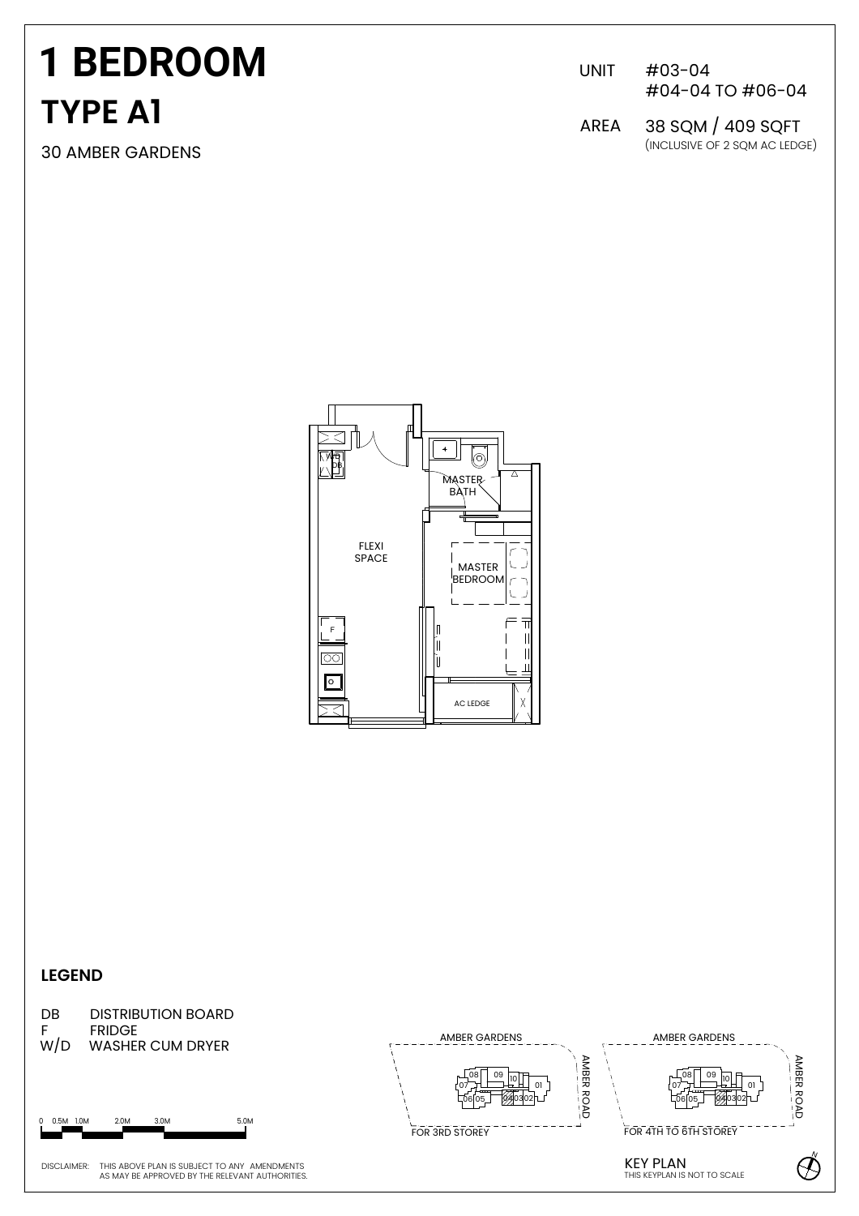# **TYPE A1 1 BEDROOM**

30 AMBER GARDENS

UNIT #03-04 #04-04 TO #06-04

(INCLUSIVE OF 2 SQM AC LEDGE) AREA 38 SQM / 409 SQFT



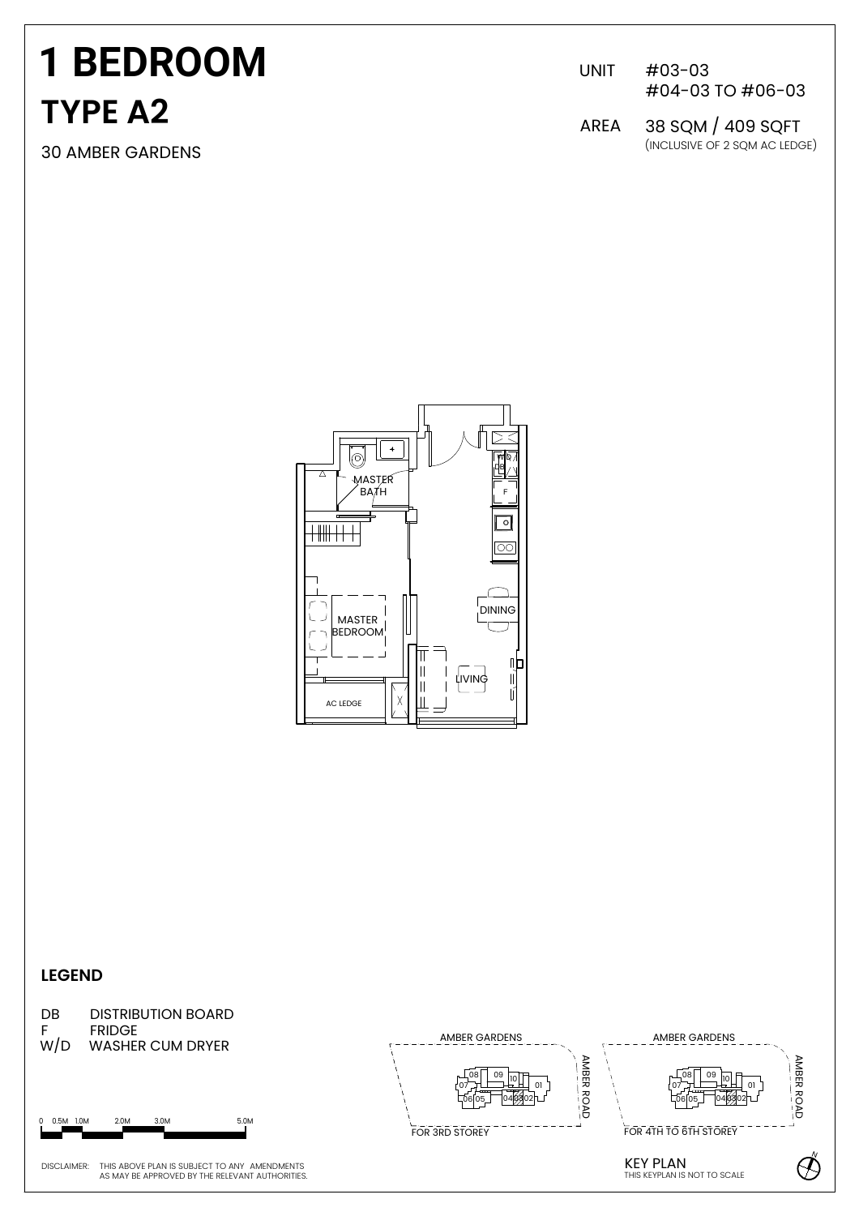# **1 BEDROOM TYPE A2**

UNIT #03-03 #04-03 TO #06-03

30 AMBER GARDENS (INCLUSIVE OF 2 SQM AC LEDGE) AREA 38 SQM / 409 SQFT



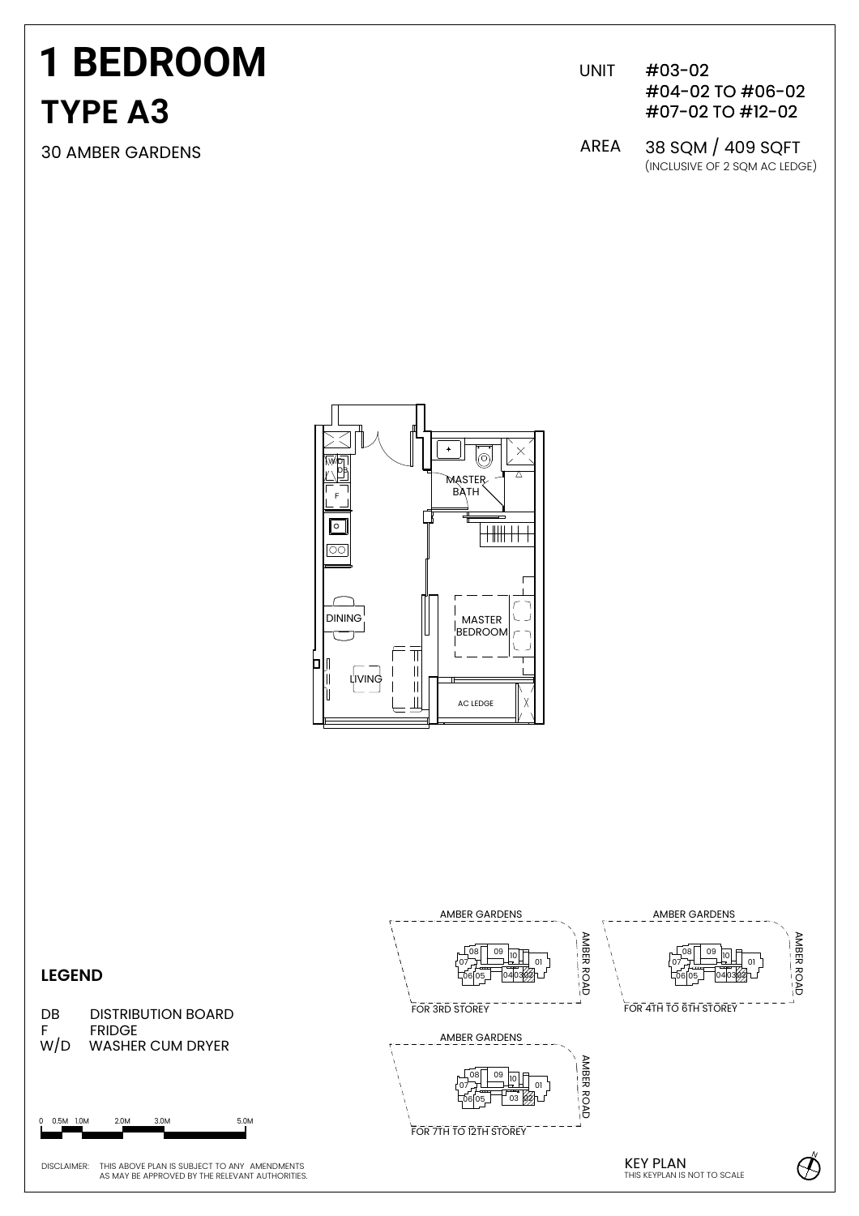# **1 BEDROOM TYPE A3**

30 AMBER GARDENS

UNIT #03-02 #04-02 TO #06-02 #07-02 TO #12-02

(INCLUSIVE OF 2 SQM AC LEDGE) AREA 38 SQM / 409 SQFT



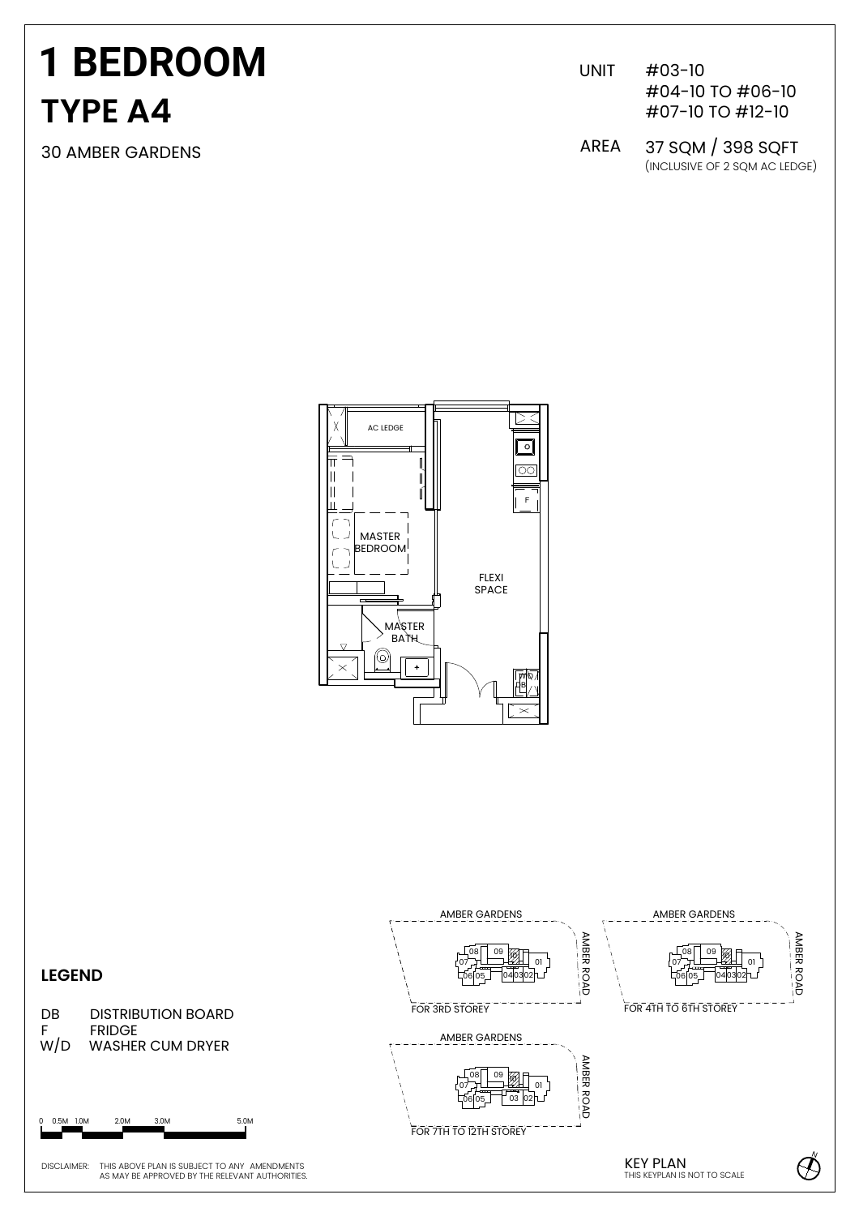# **TYPE A4 1 BEDROOM**

30 AMBER GARDENS

UNIT #03-10 #04-10 TO #06-10 #07-10 TO #12-10

(INCLUSIVE OF 2 SQM AC LEDGE) AREA 37 SQM / 398 SQFT



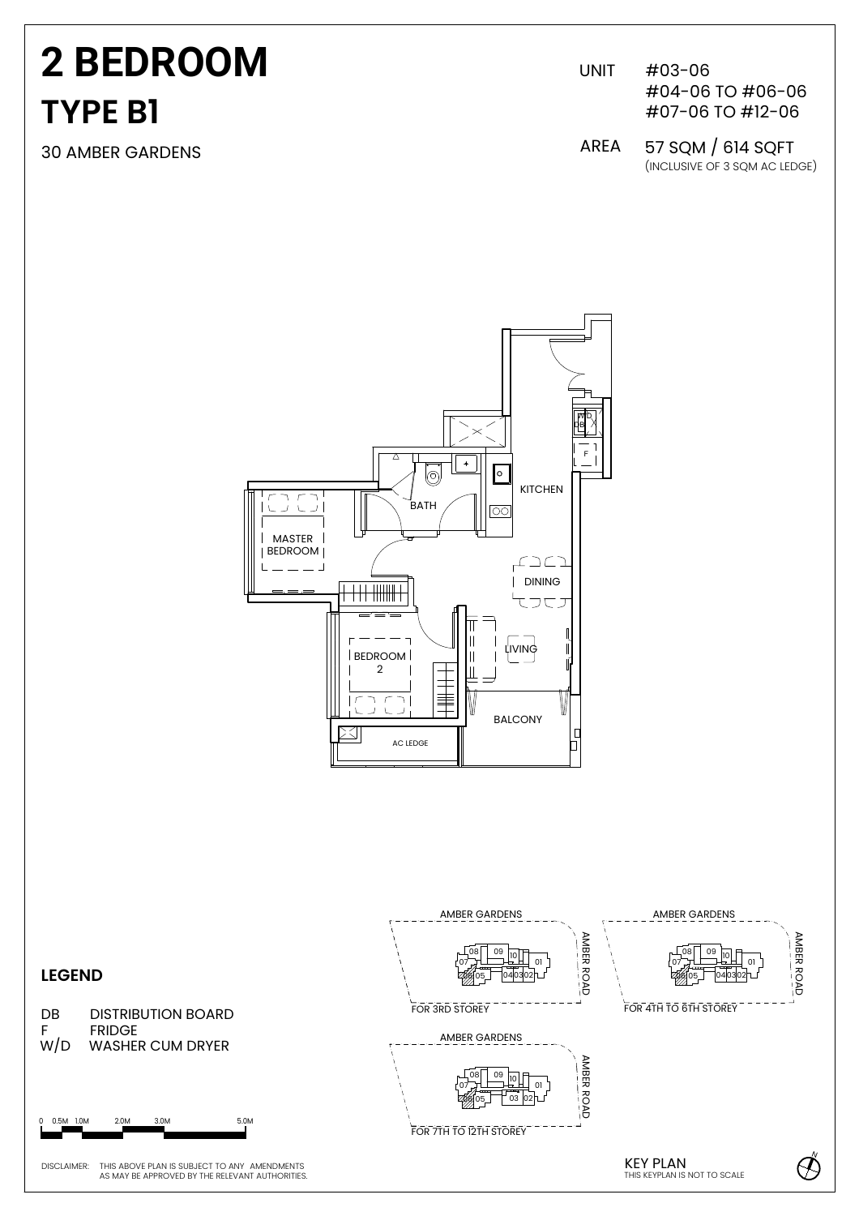# **TYPE B1 2 BEDROOM**

30 AMBER GARDENS

UNIT #03-06 #04-06 TO #06-06 #07-06 TO #12-06

(INCLUSIVE OF 3 SQM AC LEDGE) AREA 57 SQM / 614 SQFT



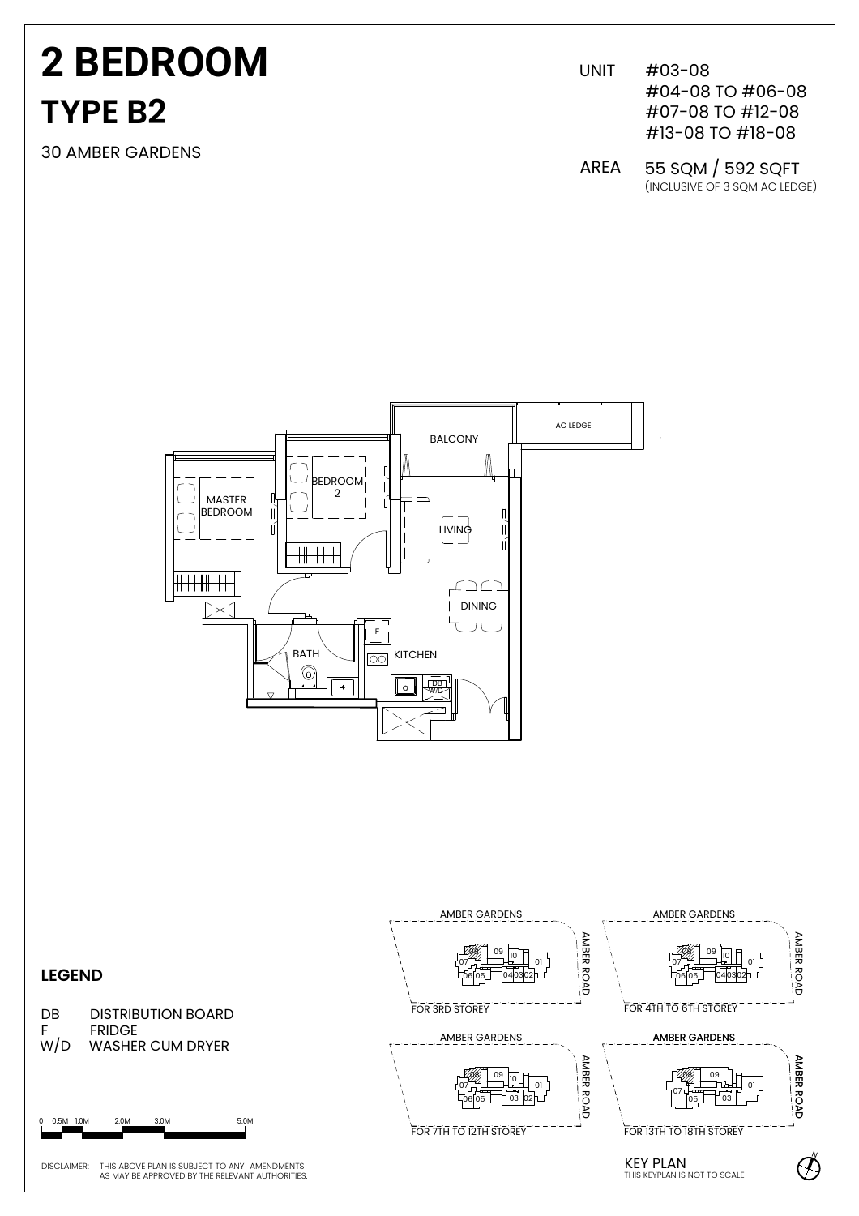# **TYPE B2 2 BEDROOM**

30 AMBER GARDENS

UNIT #03-08 #07-08 TO #12-08 #13-08 TO #18-08 #04-08 TO #06-08

AREA 55 SQM / 592 SQFT(INCLUSIVE OF 3 SQM AC LEDGE)



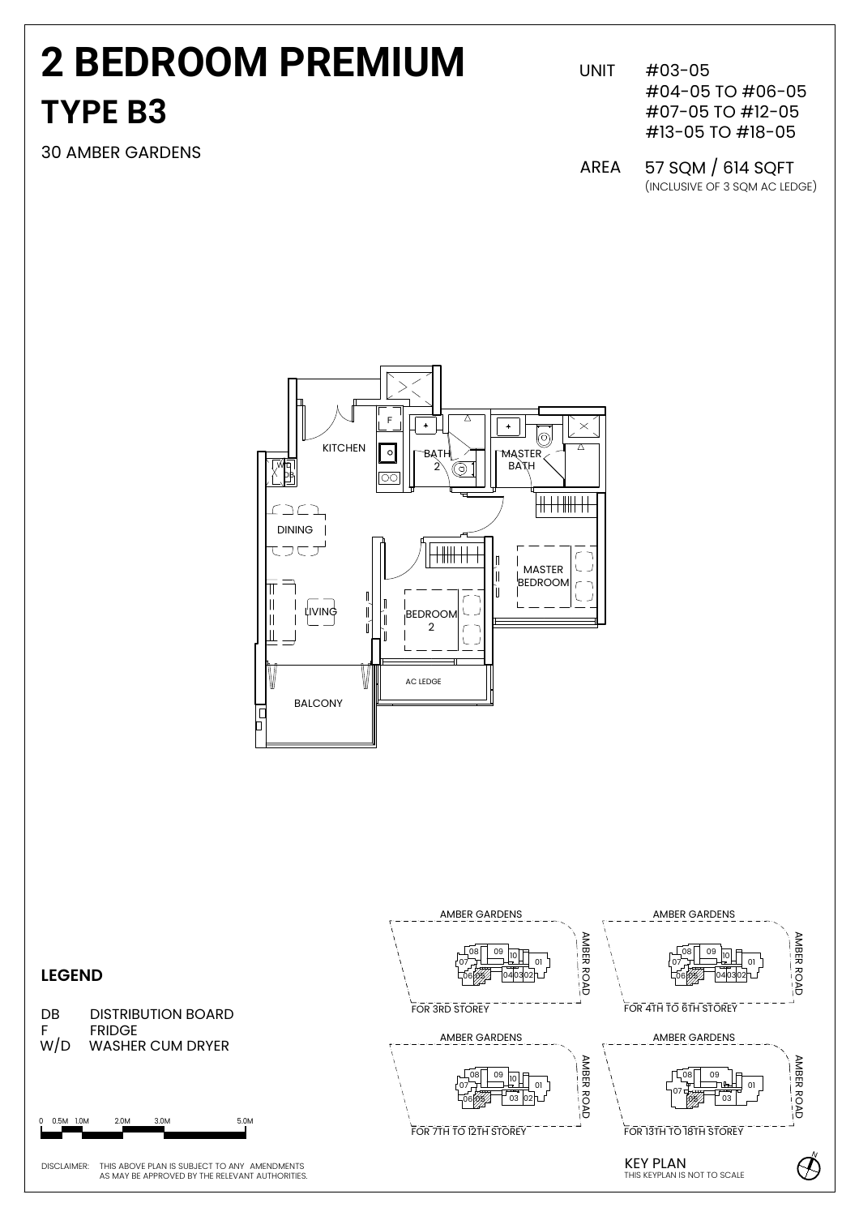## **TYPE B3 2 BEDROOM PREMIUM**

30 AMBER GARDENS

 $#03-05$ #04-05 TO #06-05 #07-05 TO #12-05 #13-05 TO #18-05

(INCLUSIVE OF 3 SQM AC LEDGE) AREA 57 SQM / 614 SQFT



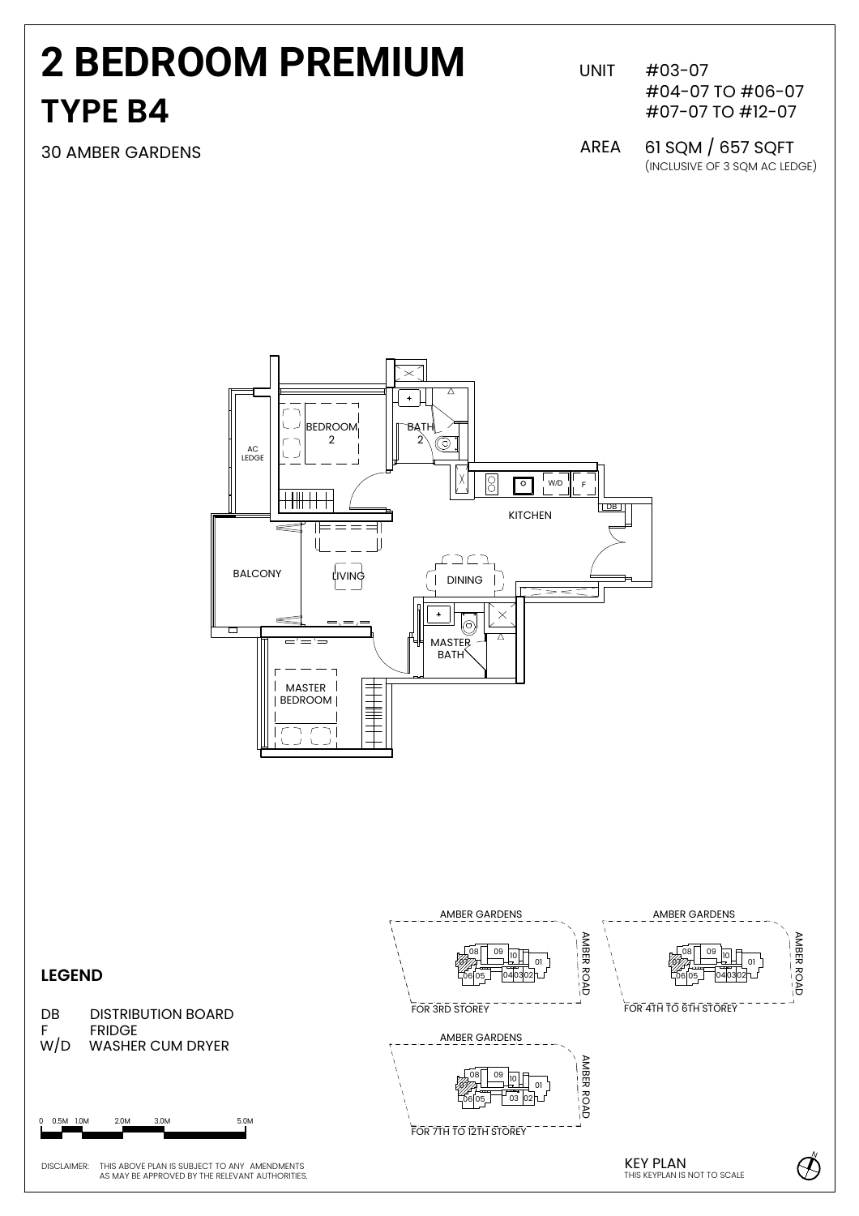### **2 BEDROOM PREMIUM TYPE B4**

30 AMBER GARDENS AREA

 $#03-07$ #04-07 TO #06-07 #07-07 TO #12-07

(INCLUSIVE OF 3 SQM AC LEDGE) 61 SQM / 657 SQFT



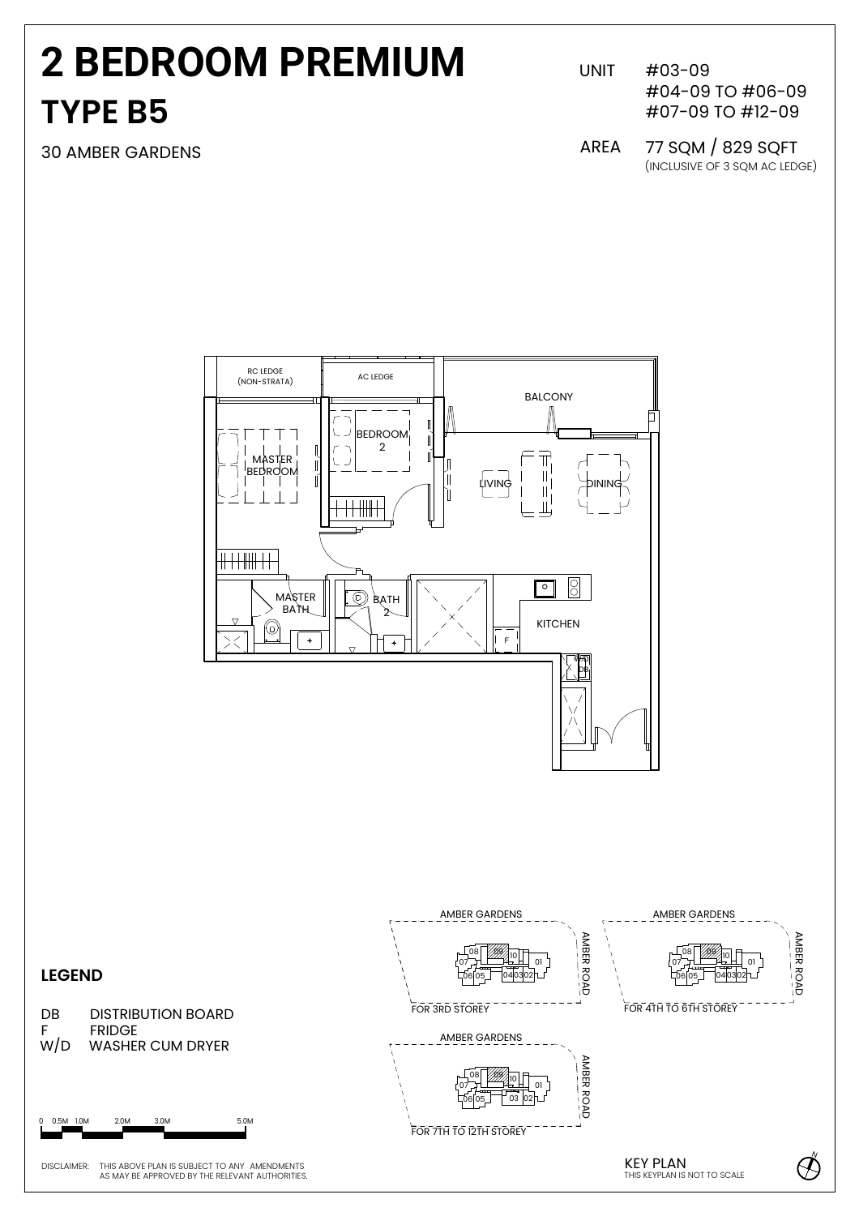### **TYPE B5 2 BEDROOM PREMIUM**

30 AMBER GARDENS

UNIT #03-09 #04-09 TO #06-09 #07-09 TO #12-09

(INCLUSIVE OF 3 SQM AC LEDGE) AREA 77 SQM / 829 SQFT

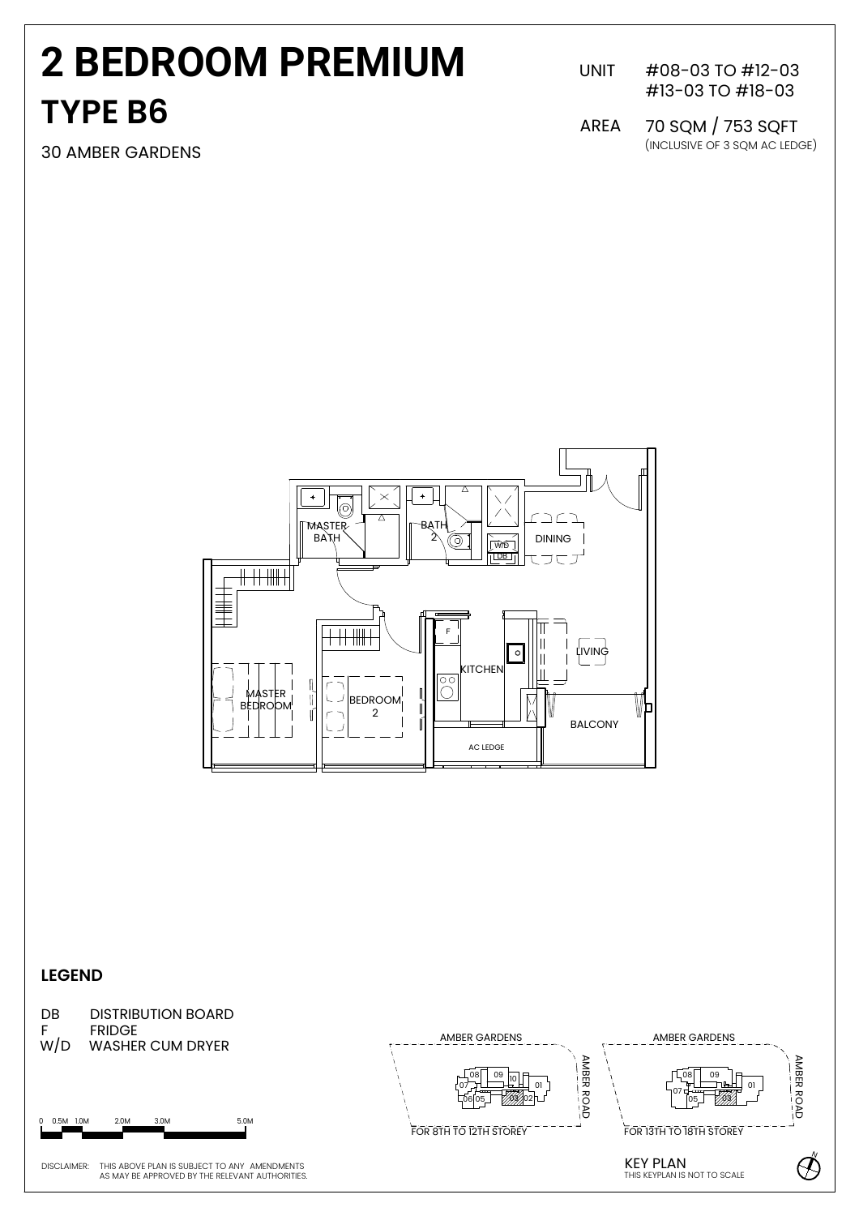### **TYPE B6 2 BEDROOM PREMIUM**

UNIT #08-03 TO #12-03 #13-03 TO #18-03

30 AMBER GARDENS (INCLUSIVE OF 3 SQM AC LEDGE) 70 SQM / 753 SQFT AREA



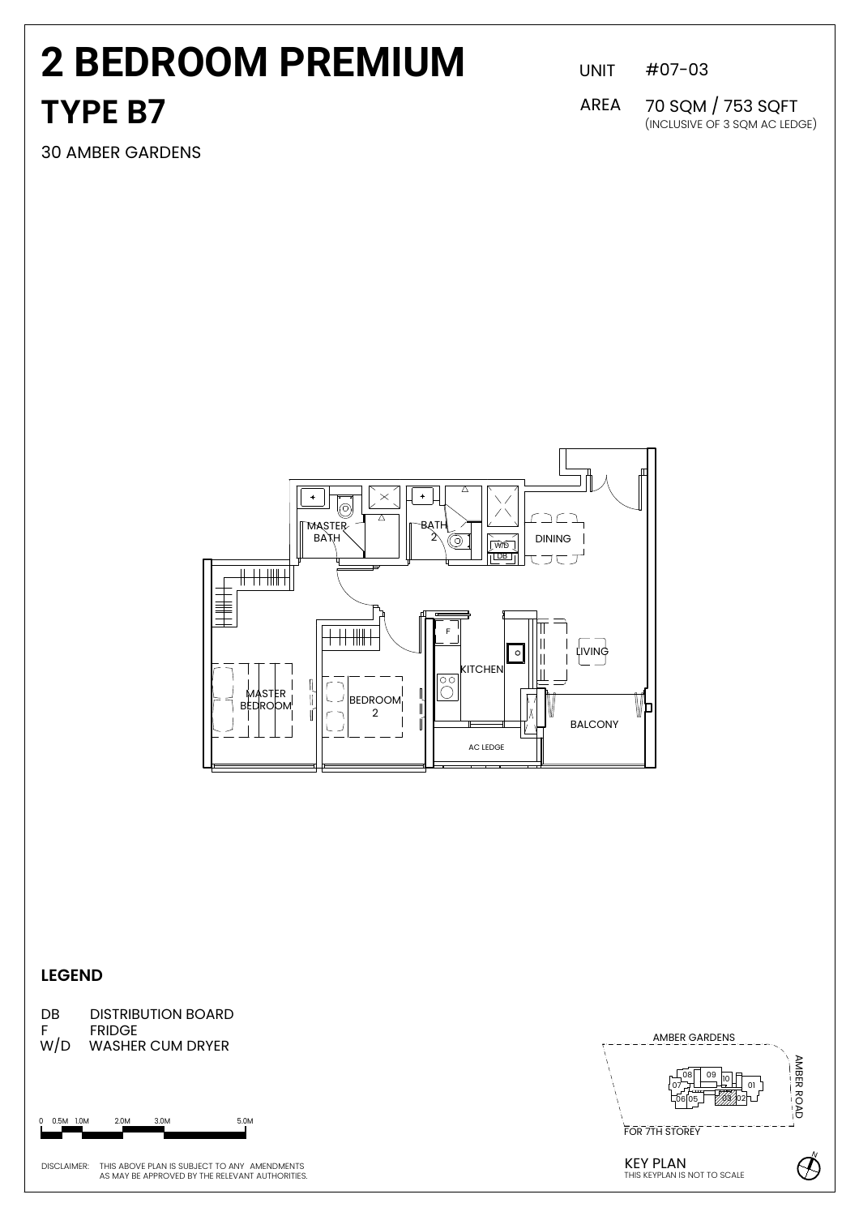### **TYPE B7 2 BEDROOM PREMIUM**

30 AMBER GARDENS

UNIT #07-03

(INCLUSIVE OF 3 SQM AC LEDGE) 70 SQM / 753 SQFT AREA



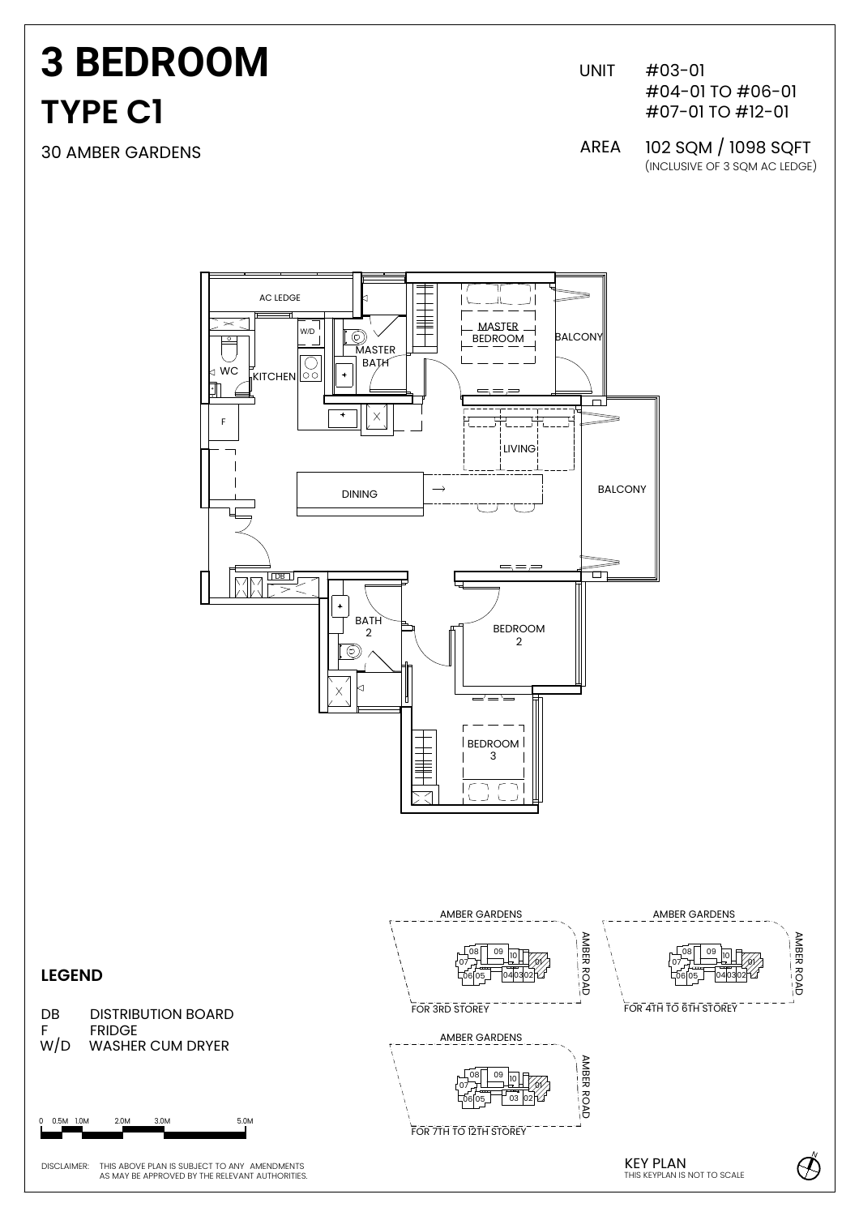# **TYPE C1 3 BEDROOM**

30 AMBER GARDENS

UNIT #03-01 #04-01 TO #06-01 #07-01 TO #12-01

(INCLUSIVE OF 3 SQM AC LEDGE) AREA 102 SQM / 1098 SQFT

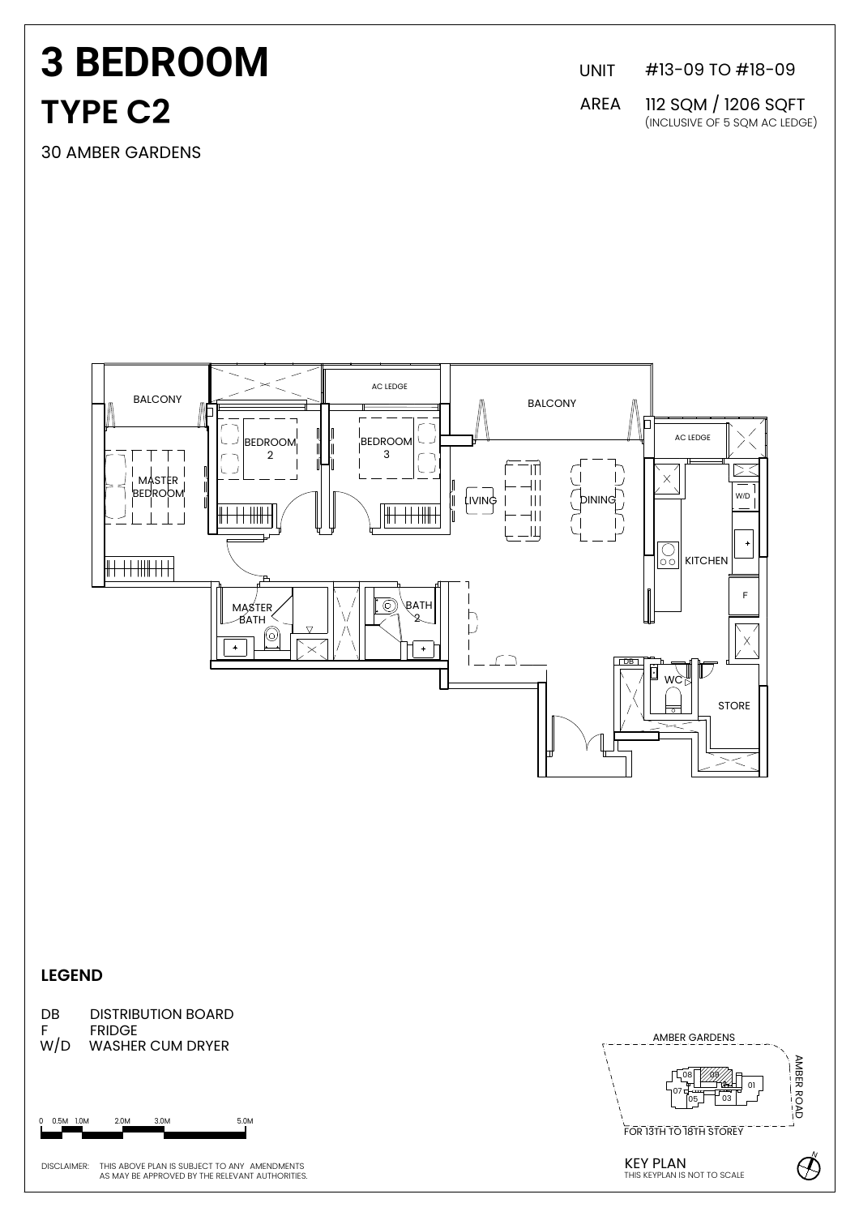## **3 BEDROOM TYPE C2**

30 AMBER GARDENS

UNIT #13-09 TO #18-09

AREA 112 SQM / 1206 SQFT (INCLUSIVE OF 5 SQM AC LEDGE)



0 0.5M 1.0M 2.0M 3.0M 5.0M

DISCLAIMER: THIS ABOVE PLAN IS SUBJECT TO ANY AMENDMENTS AS MAY BE APPROVED BY THE RELEVANT AUTHORITIES.

**KEY PLAN**<br>THIS KEYPLAN IS NOT TO SCALE

N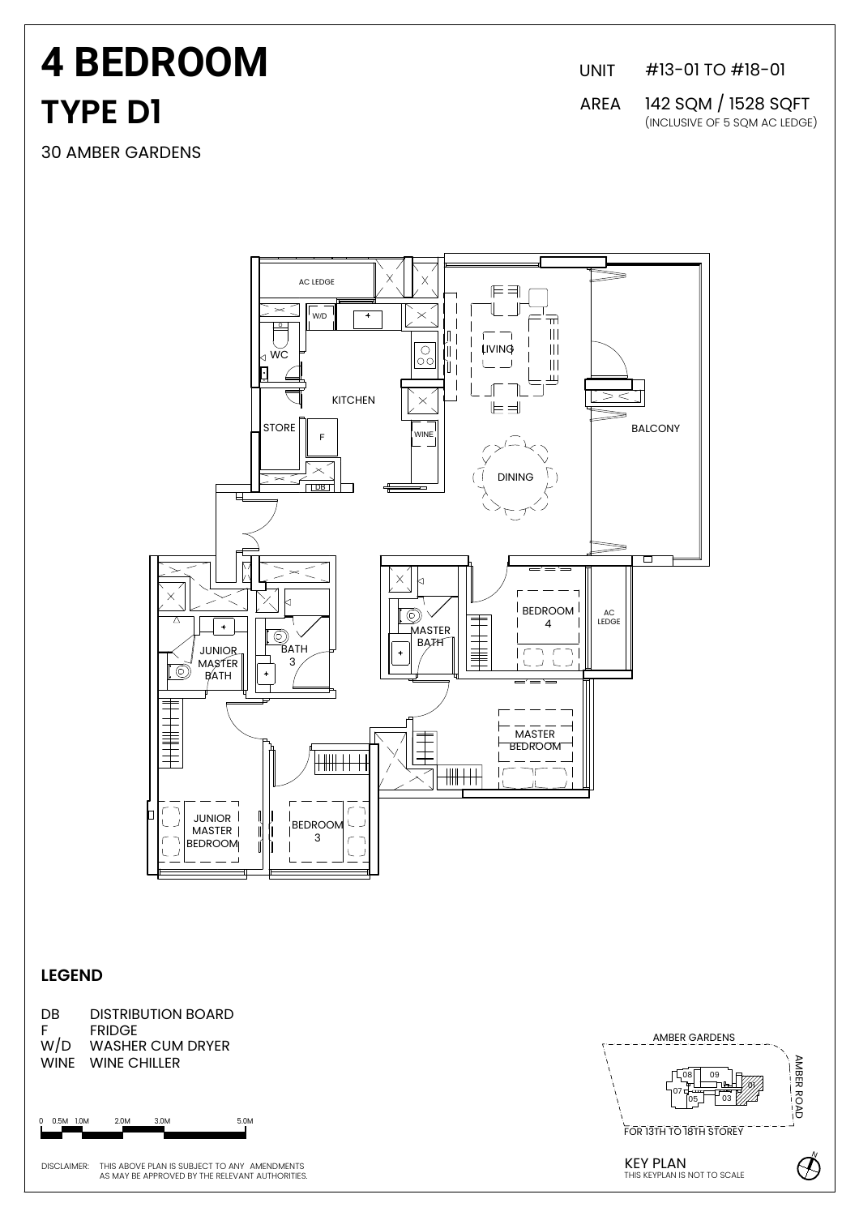# **TYPE D1 4 BEDROOM**

30 AMBER GARDENS

UNIT #13-01 TO #18-01

AREA 142 SQM / 1528 SQFT (INCLUSIVE OF 5 SQM AC LEDGE)



#### **LEGEND**

DB DISTRIBUTION BOARD F FRIDGE<br>W/D WASHE WASHER CUM DRYER WINE WINE CHILLER

0 0.5M 1.0M 2.0M 3.0M 5.0M

DISCLAIMER: THIS ABOVE PLAN IS SUBJECT TO ANY AMENDMENTS

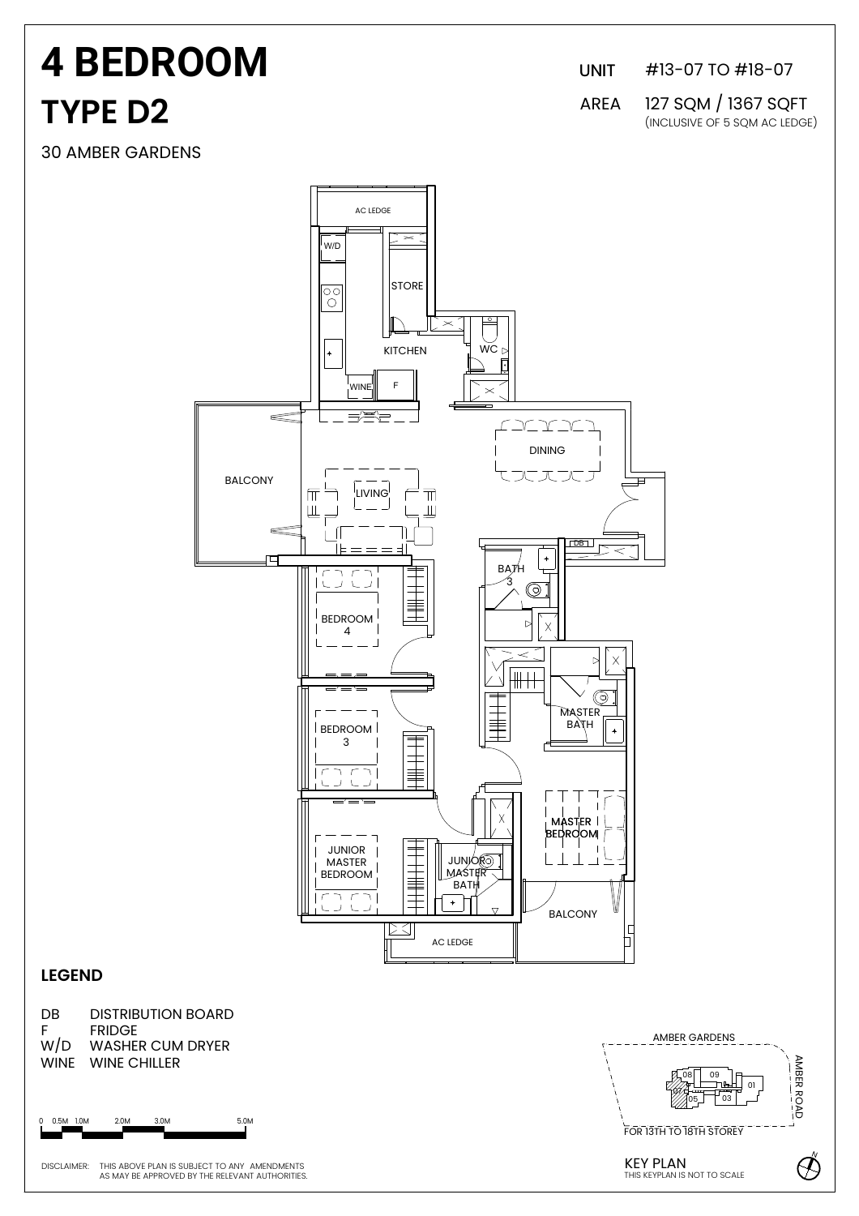## **TYPE D2 4 BEDROOM**

30 AMBER GARDENS

UNIT #13-07 TO #18-07

AREA 127 SQM / 1367 SQFT (INCLUSIVE OF 5 SQM AC LEDGE)



#### **LEGEND**



0 0.5M 1.0M 2.0M 3.0M 5.0M

DISCLAIMER: THIS ABOVE PLAN IS SUBJECT TO ANY AMENDMENTS THIS ABOVE PLAN IS SUBJECT TO ANY AMENDMENTS<br>AS MAY BE APPROVED BY THE RELEVANT AUTHORITIES. NOTE AND THE SECTION OF THIS KEYPLAN IS NOT TO SCALE

KFY PLAN THE REVENUES OF THE REVENUES OF THE REVENUES OF THE REVENUES OF THE REVENUES OF THE REVENUES OF THE REVENUES OF THE REVENUES OF THE REVENUES OF THE REVENUES OF THE REVENUES OF THE REVENUES OF THE REVENUES OF THE REVENUES AMBER GARDENS <sup>03</sup> <sup>01</sup> <sup>08</sup> <sup>09</sup> 075<del>. - 17</del>  $\frac{1}{03}$ FOR 13TH TO 18TH STOREY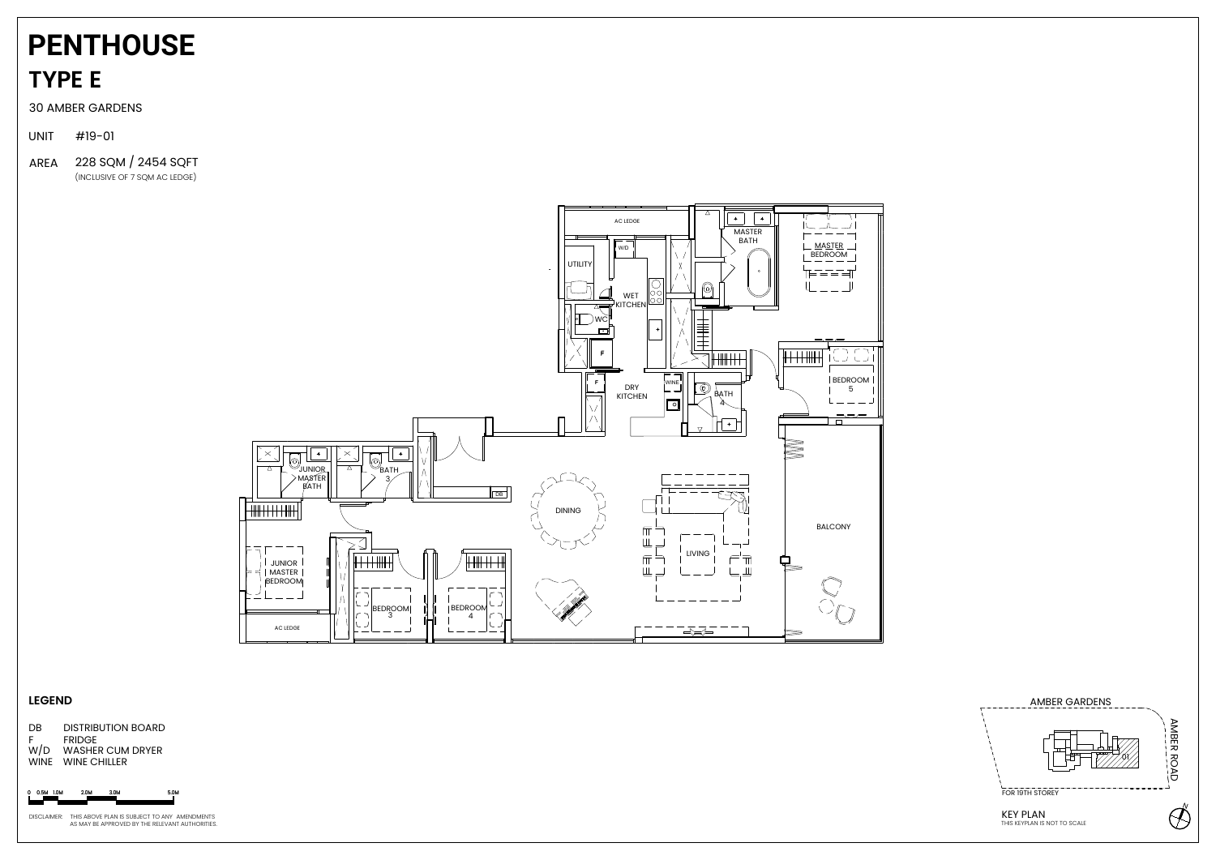## **TYPE E PENTHOUSE**





DB DISTRIBUTION BOARD<br>F FRIDGE **FRIDGE** W/D WASHER CUM DRYER WINE WINE CHILLER

0 0.5M 1.0M 2.0M 3.0M

30 AMBER GARDENS

UNIT #19-01

#### **LEGEND**

AREA 228 SQM / 2454 SQFT(INCLUSIVE OF 7 SQM AC LEDGE)

DISCLAIMER: THIS ABOVE PLAN IS SUBJECT TO ANY AMENDMENTS AS MAY BE APPROVED BY THE RELEVANT AUTHORITIES.